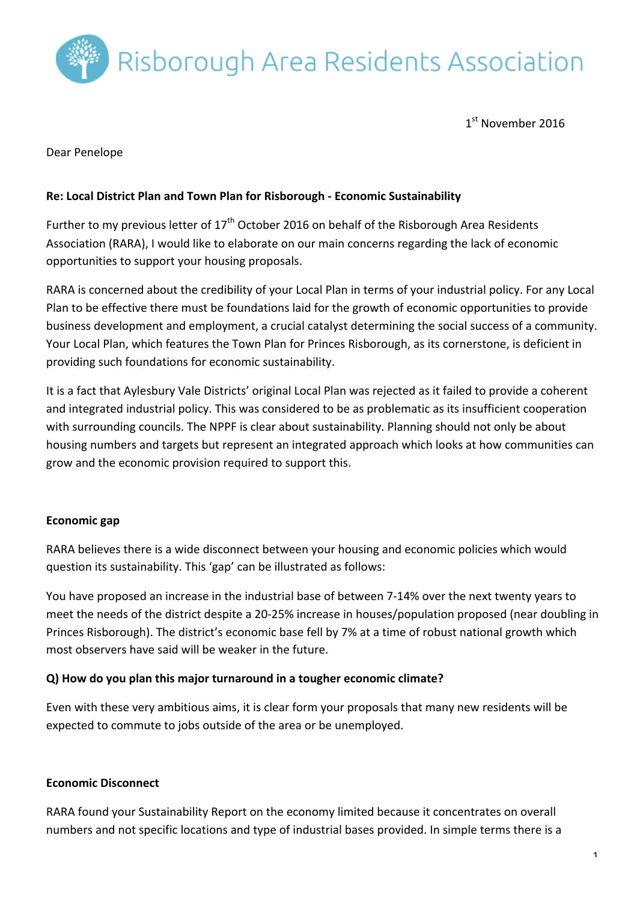Risborough Area Residents Association

1<sup>st</sup> November 2016

Dear Penelope

## **Re: Local District Plan and Town Plan for Risborough - Economic Sustainability**

Further to my previous letter of  $17<sup>th</sup>$  October 2016 on behalf of the Risborough Area Residents Association (RARA), I would like to elaborate on our main concerns regarding the lack of economic opportunities to support your housing proposals.

RARA is concerned about the credibility of your Local Plan in terms of your industrial policy. For any Local Plan to be effective there must be foundations laid for the growth of economic opportunities to provide business development and employment, a crucial catalyst determining the social success of a community. Your Local Plan, which features the Town Plan for Princes Risborough, as its cornerstone, is deficient in providing such foundations for economic sustainability.

It is a fact that Aylesbury Vale Districts' original Local Plan was rejected as it failed to provide a coherent and integrated industrial policy. This was considered to be as problematic as its insufficient cooperation with surrounding councils. The NPPF is clear about sustainability. Planning should not only be about housing numbers and targets but represent an integrated approach which looks at how communities can grow and the economic provision required to support this.

## **Economic gap**

RARA believes there is a wide disconnect between your housing and economic policies which would question its sustainability. This 'gap' can be illustrated as follows:

You have proposed an increase in the industrial base of between 7-14% over the next twenty years to meet the needs of the district despite a 20-25% increase in houses/population proposed (near doubling in Princes Risborough). The district's economic base fell by 7% at a time of robust national growth which most observers have said will be weaker in the future.

## **Q) How do you plan this major turnaround in a tougher economic climate?**

Even with these very ambitious aims, it is clear form your proposals that many new residents will be expected to commute to jobs outside of the area or be unemployed.

## **Economic Disconnect**

RARA found your Sustainability Report on the economy limited because it concentrates on overall numbers and not specific locations and type of industrial bases provided. In simple terms there is a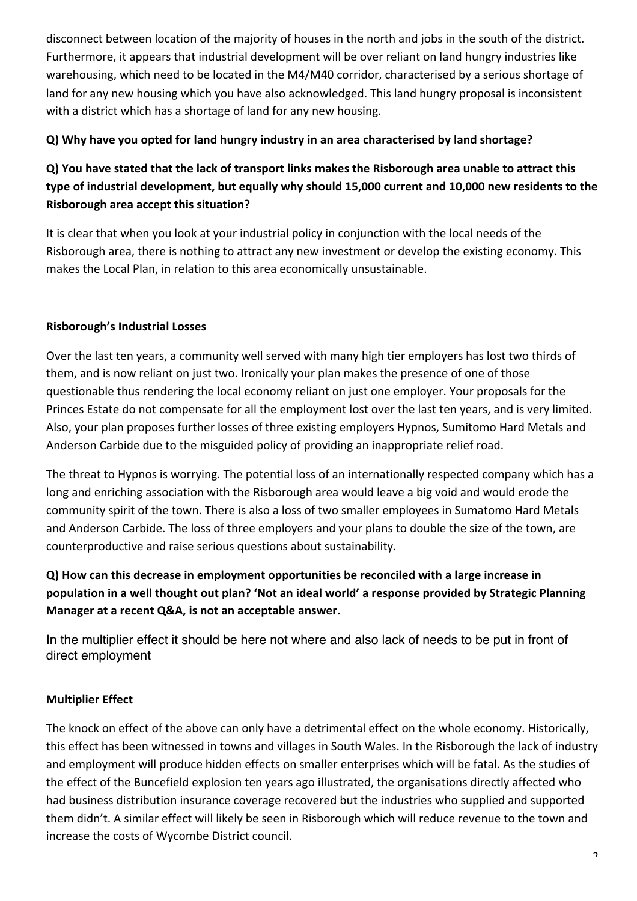disconnect between location of the majority of houses in the north and jobs in the south of the district. Furthermore, it appears that industrial development will be over reliant on land hungry industries like warehousing, which need to be located in the M4/M40 corridor, characterised by a serious shortage of land for any new housing which you have also acknowledged. This land hungry proposal is inconsistent with a district which has a shortage of land for any new housing.

## **Q)** Why have you opted for land hungry industry in an area characterised by land shortage?

# **Q)** You have stated that the lack of transport links makes the Risborough area unable to attract this type of industrial development, but equally why should 15,000 current and 10,000 new residents to the **Risborough area accept this situation?**

It is clear that when you look at your industrial policy in conjunction with the local needs of the Risborough area, there is nothing to attract any new investment or develop the existing economy. This makes the Local Plan, in relation to this area economically unsustainable.

## **Risborough's Industrial Losses**

Over the last ten years, a community well served with many high tier employers has lost two thirds of them, and is now reliant on just two. Ironically your plan makes the presence of one of those questionable thus rendering the local economy reliant on just one employer. Your proposals for the Princes Estate do not compensate for all the employment lost over the last ten years, and is very limited. Also, your plan proposes further losses of three existing employers Hypnos, Sumitomo Hard Metals and Anderson Carbide due to the misguided policy of providing an inappropriate relief road.

The threat to Hypnos is worrying. The potential loss of an internationally respected company which has a long and enriching association with the Risborough area would leave a big void and would erode the community spirit of the town. There is also a loss of two smaller employees in Sumatomo Hard Metals and Anderson Carbide. The loss of three employers and your plans to double the size of the town, are counterproductive and raise serious questions about sustainability.

# **Q)** How can this decrease in employment opportunities be reconciled with a large increase in population in a well thought out plan? 'Not an ideal world' a response provided by Strategic Planning **Manager** at a recent Q&A, is not an acceptable answer.

In the multiplier effect it should be here not where and also lack of needs to be put in front of direct employment

# **Multiplier Effect**

The knock on effect of the above can only have a detrimental effect on the whole economy. Historically, this effect has been witnessed in towns and villages in South Wales. In the Risborough the lack of industry and employment will produce hidden effects on smaller enterprises which will be fatal. As the studies of the effect of the Buncefield explosion ten years ago illustrated, the organisations directly affected who had business distribution insurance coverage recovered but the industries who supplied and supported them didn't. A similar effect will likely be seen in Risborough which will reduce revenue to the town and increase the costs of Wycombe District council.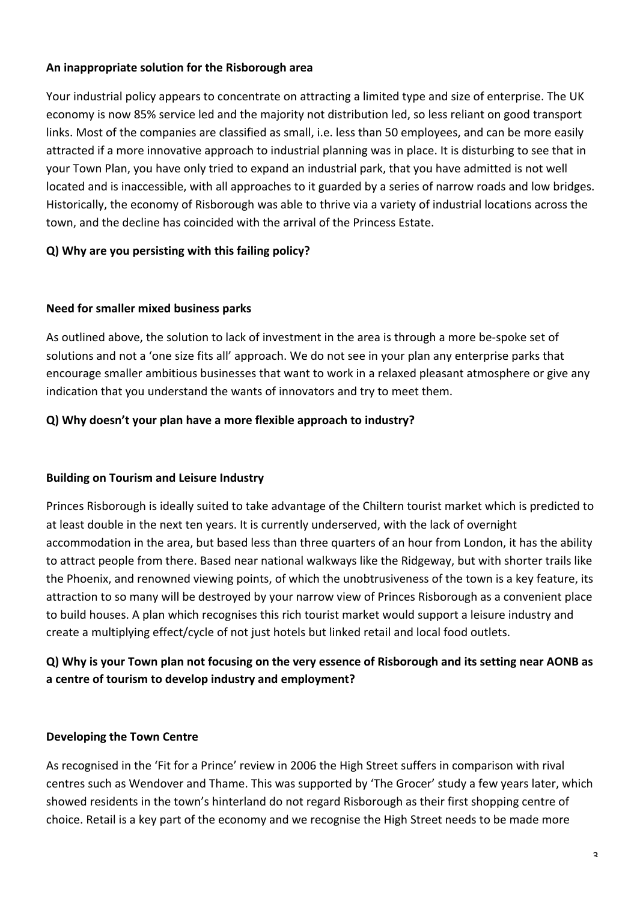## An inappropriate solution for the Risborough area

Your industrial policy appears to concentrate on attracting a limited type and size of enterprise. The UK economy is now 85% service led and the majority not distribution led, so less reliant on good transport links. Most of the companies are classified as small, i.e. less than 50 employees, and can be more easily attracted if a more innovative approach to industrial planning was in place. It is disturbing to see that in your Town Plan, you have only tried to expand an industrial park, that you have admitted is not well located and is inaccessible, with all approaches to it guarded by a series of narrow roads and low bridges. Historically, the economy of Risborough was able to thrive via a variety of industrial locations across the town, and the decline has coincided with the arrival of the Princess Estate.

## **Q) Why are you persisting with this failing policy?**

## **Need for smaller mixed business parks**

As outlined above, the solution to lack of investment in the area is through a more be-spoke set of solutions and not a 'one size fits all' approach. We do not see in your plan any enterprise parks that encourage smaller ambitious businesses that want to work in a relaxed pleasant atmosphere or give any indication that you understand the wants of innovators and try to meet them.

## **Q)** Why doesn't your plan have a more flexible approach to industry?

## **Building on Tourism and Leisure Industry**

Princes Risborough is ideally suited to take advantage of the Chiltern tourist market which is predicted to at least double in the next ten years. It is currently underserved, with the lack of overnight accommodation in the area, but based less than three quarters of an hour from London, it has the ability to attract people from there. Based near national walkways like the Ridgeway, but with shorter trails like the Phoenix, and renowned viewing points, of which the unobtrusiveness of the town is a key feature, its attraction to so many will be destroyed by your narrow view of Princes Risborough as a convenient place to build houses. A plan which recognises this rich tourist market would support a leisure industry and create a multiplying effect/cycle of not just hotels but linked retail and local food outlets.

# **Q)** Why is your Town plan not focusing on the very essence of Risborough and its setting near AONB as a centre of tourism to develop industry and employment?

## **Developing the Town Centre**

As recognised in the 'Fit for a Prince' review in 2006 the High Street suffers in comparison with rival centres such as Wendover and Thame. This was supported by 'The Grocer' study a few years later, which showed residents in the town's hinterland do not regard Risborough as their first shopping centre of choice. Retail is a key part of the economy and we recognise the High Street needs to be made more